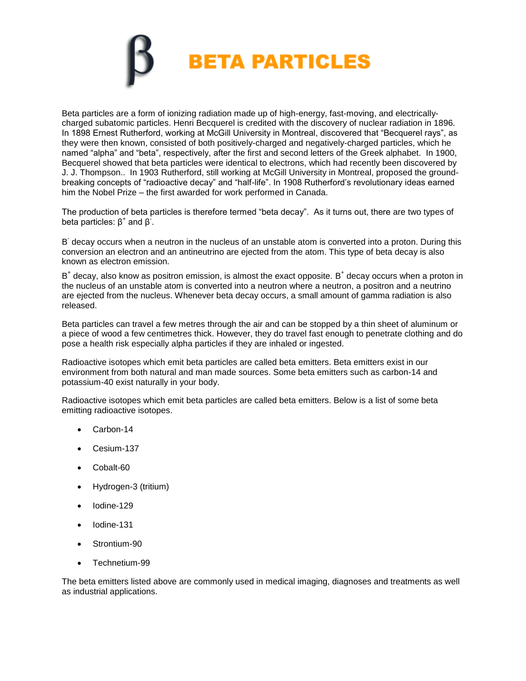

Beta particles are a form of ionizing radiation made up of high-energy, fast-moving, and electricallycharged subatomic particles. Henri Becquerel is credited with the discovery of nuclear radiation in 1896. In 1898 Ernest Rutherford, working at McGill University in Montreal, discovered that "Becquerel rays", as they were then known, consisted of both positively-charged and negatively-charged particles, which he named "alpha" and "beta", respectively, after the first and second letters of the Greek alphabet. In 1900, Becquerel showed that beta particles were identical to electrons, which had recently been discovered by J. J. Thompson.. In 1903 Rutherford, still working at McGill University in Montreal, proposed the groundbreaking concepts of "radioactive decay" and "half-life". In 1908 Rutherford's revolutionary ideas earned him the Nobel Prize – the first awarded for work performed in Canada.

The production of beta particles is therefore termed "beta decay". As it turns out, there are two types of beta particles:  $\beta^+$  and  $\beta^-$ .

B - decay occurs when a neutron in the nucleus of an unstable atom is converted into a proton. During this conversion an electron and an antineutrino are ejected from the atom. This type of beta decay is also known as electron emission.

B<sup>+</sup> decay, also know as positron emission, is almost the exact opposite. B<sup>+</sup> decay occurs when a proton in the nucleus of an unstable atom is converted into a neutron where a neutron, a positron and a neutrino are ejected from the nucleus. Whenever beta decay occurs, a small amount of gamma radiation is also released.

Beta particles can travel a few metres through the air and can be stopped by a thin sheet of aluminum or a piece of wood a few centimetres thick. However, they do travel fast enough to penetrate clothing and do pose a health risk especially alpha particles if they are inhaled or ingested.

Radioactive isotopes which emit beta particles are called beta emitters. Beta emitters exist in our environment from both natural and man made sources. Some beta emitters such as carbon-14 and potassium-40 exist naturally in your body.

Radioactive isotopes which emit beta particles are called beta emitters. Below is a list of some beta emitting radioactive isotopes.

- Carbon-14
- Cesium-137
- Cobalt-60
- Hydrogen-3 (tritium)
- Iodine-129
- Iodine-131
- Strontium-90
- Technetium-99

The beta emitters listed above are commonly used in medical imaging, diagnoses and treatments as well as industrial applications.